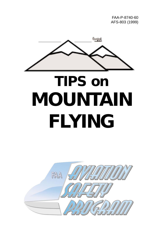FAA-P-8740-60 AFS-803 (1999)

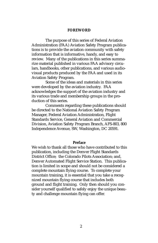#### **FOREWORD**

The purpose of this series of Federal Aviation Administration (FAA) Aviation Safety Program publications is to provide the aviation community with safety information that is informative, handy, and easy to review. Many of the publications in this series summarize material published in various FAA advisory circulars, handbooks, other publications, and various audiovisual products produced by the FAA and used in its Aviation Safety Program.

Some of the ideas and materials in this series were developed by the aviation industry. FAA acknowledges the support of the aviation industry and its various trade and membership groups in the production of this series.

Comments regarding these publications should be directed to the National Aviation Safety Program Manager, Federal Aviation Administration, Flight Standards Service, General Aviation and Commercial Division, Aviation Safety Program Branch, AFS-803, 800 Independence Avenue, SW, Washington, DC 20591.

#### **Preface**

We wish to thank all those who have contributed to this publication, including the Denver Flight Standards District Office; the Colorado Pilots Association; and, Denver Automated Flight Service Station. This publication is limited in scope and should not be considered a complete mountain flying course. To complete your mountain training, it is essential that you take a recognized mountain flying course that includes both ground and flight training. Only then should you consider yourself qualified to safely enjoy the unique beauty and challenge mountain flying can offer.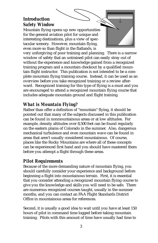# **Introduction** *Safety Window*

Mountain flying opens up new opportunities for the general aviation pilot for unique and interesting destinations, plus a view of spectacular scenery. However, mountain flying, even more so than flight in the flatlands, is

very unforgiving of poor training and planning. There is a narrow window of safety that an untrained pilot can easily stray out of without the experience and knowledge gained from a recognized training program and a mountain checkout by a qualified mountain flight instructor. This publication is not intended to be a complete mountain flying training course. Instead, it can be used as an overview before you take recognized training or a review afterward. Recognized training for this type of flying is a must and you are encouraged to attend a recognized mountain flying course that includes adequate mountain ground and flight training.

# *What is Mountain Flying?*

Rather than offer a definition of "mountain" flying, it should be pointed out that many of the subjects discussed in this publication can be found in nonmountainous areas or at low altitudes. For example, density altitudes over 8,500 feet can be found regularly on the eastern plains of Colorado in the summer. Also, dangerous mechanical turbulence and even mountain wave can be found in areas that aren't usually considered mountainous. Of course, places like the Rocky Mountains are where all of these concepts can be experienced first hand and you should have mastered them before you attempt a flight through these areas.

# *Pilot Requirements*

Because of the more demanding nature of mountain flying, you should carefully consider your experience and background before beginning a flight into mountainous terrain. First, it is essential that you consider attending a recognized mountain flying course to give you the knowledge and skills you will need to be safe. There are numerous recognized courses taught, usually in the summer months, and you can contact an FAA Flight Standards District Office in mountainous areas for references.

Second, it is usually a good idea to wait until you have at least 150 hours of pilot in command time logged before taking mountain training. Pilots with this amount of time have usually had time to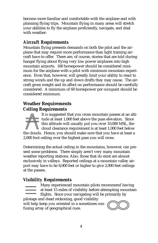become more familiar and comfortable with the airplane and with planning flying trips. Mountain flying in many areas will stretch your abilities to fly the airplane proficiently, navigate, and deal with weather.

# *Aircraft Requirements*

Mountain flying presents demands on both the pilot and the airplane that may require more performance than light training aircraft have to offer. There are, of course, stories that are told during hangar flying about flying very low power airplanes into high mountain airports. 160 horsepower should be considered minimum for the airplane with a pilot with minimum mountain experience. Even that, however, will greatly limit your ability to react to strong winds and the up and down drafts they may cause. The aircraft gross weight and its affect on performance should be carefully considered. A minimum of 60 horsepower per occupant should be considered minimum.

# **Weather Requirements** *Ceiling Requirements*

It is suggested that you cross mountain passes at an altitude at least 1,000 feet above the pass elevation. Since this altitude will usually put you over 10,000 MSL, the cloud clearance requirement is at least 1,000 feet below the clouds. Hence, you should make sure that you have at least a 2,000 foot ceiling over the highest pass you will cross.

Determining the actual ceiling in the mountains, however, can present some problems. There simply aren't very many mountain weather reporting stations. Also, those that do exist are almost exclusively in valleys. Reported ceilings at a mountain valley airport may have to be 8,000 feet or higher to give 2,000 feet ceilings at the passes.

# *Visibility Requirements*

Many experienced mountain pilots recommend having at least 15 miles of visibility before attempting mountain flights. Since your navigating will be primarily by pilotage and dead reckoning, good visibility will help keep you oriented in a sometimes con-

fusing array of geographical cues.

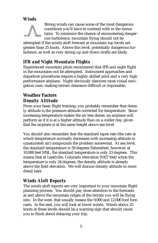# *Winds*



Strong winds can cause some of the most dangerous conditions you'll have to contend with in the mountains. To minimize the chance of encountering dangerous turbulence, mountain flying should not be

attempted if the winds aloft forecast at mountain top levels are greater than 25 knots. Above this level, potentially dangerous turbulence, as well as very strong up and down drafts are likely.

# *IFR and Night Mountain Flights*

Experienced mountain pilots recommend that IFR and night flight in the mountains not be attempted. Instrument approaches and departure procedures require a highly skilled pilot and a very high performance airplane. Night obviously obscures most visual navigation cues, making terrain clearance difficult or impossible.

# **Weather Factors** *Density Altitude*

From your basic flight training, you probably remember that density altitude is the pressure altitude corrected for temperature. Since increasing temperature makes the air less dense, an airplane will perform as if it is at a higher altitude than on a colder day, given that the airplane is at the same height above sea level.

You should also remember that the standard lapse rate (the rate at which temperature normally decreases with increasing altitude in unsaturated air) compounds the problem somewhat. At sea level, the standard temperature is 59 degrees Fahrenheit, however, at 10,000 feet MSL, the standard temperature is only 23 degrees. This means that at Leadville, Colorado (elevation 9,927 feet) when the temperature is only 24 degrees, the density altitude is already above the field elevation. We will discuss density altitude in more detail later.

# *Winds Aloft Reports*

The winds aloft reports are very important to your mountain flight planning process. You should pay close attention to the forecasts at and above the mountain ridges of the terrain you will be flying into. In the west, that usually means the 9,000 and 12,000 foot forecasts. In the east, you will look at lower winds. Winds above 25 knots at these levels should be a warning sign that should cause you to think about delaying your trip.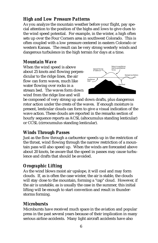# *High and Low Pressure Patterns*

As you analyze the mountain weather before your flight, pay special attention to the position of the highs and lows to give clues to the wind speed potential. For example, in the winter, a high often sets up over the Four Corners area in southwest Colorado. This is often coupled with a low pressure centered in eastern Colorado or western Kansas. The result can be very strong westerly winds and dangerous turbulence in the high terrain for days at a time.

### *Mountain Wave*

When the wind speed is above about 25 knots and flowing perpendicular to the ridge lines, the air flow can form waves, much like water flowing over rocks in a stream bed. The waves form down wind from the ridge line and will



be composed of very strong up and down drafts, plus dangerous rotor action under the crests of the waves. If enough moisture is present, lenticular clouds can form to give a visual indication of the wave action. These clouds are reported in the remarks section of hourly sequence reports as ACSL (altocumulus standing lenticular) or CCSL (cirrocumulus standing lenticular).

# *Winds Through Passes*

Just as the flow through a carburetor speeds up in the restriction of the throat, wind flowing through the narrow restriction of a mountain pass will also speed up. When the winds are forecasted above about 20 knots, be aware that the speed in passes may cause turbulence and drafts that should be avoided.

# *Orographic Lifting*

As the wind blows moist air upslope, it will cool and may form clouds. If, as is often the case winter, the air is stable, the clouds will stay close to the mountain, forming a "cap" cloud. However, if the air is unstable, as is usually the case in the summer, this initial lifting will be enough to start convection and result in thunderstorms forming.

# *Microbursts*

Microbursts have received much space in the aviation and popular press in the past several years because of their implication in many serious airline accidents. Many light aircraft accidents have also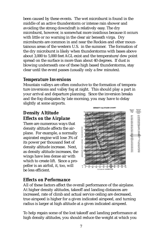been caused by these events. The wet microburst is found in the middle of an active thunderstorm or intense rain shower and avoiding the strong downdraft is relatively easy. The dry microburst, however, is somewhat more insidious because it occurs with little or no warning in the clear air beneath virga. Dry microbursts are common in and near the Rockies and other mountainous areas of the western U.S. in the summer. The formation of the dry microburst is likely when thunderstorms with bases above about 3,000 to 5,000 feet AGL exist and the temperature/dew point spread on the surface is more than about 40 degrees. If dust is blowing underneath one of these high based thunderstorms, stay clear until the event passes (usually only a few minutes).

# *Temperature Inversions*

Mountain valleys are often conducive to the formation of temperature inversions and valley fog at night. This should play a part in your arrival and departure planning. Since the inversion breaks and the fog dissipates by late morning, you may have to delay slightly at some airports.

### **Density Altitude** *Effects on the Airplane*

There are numerous ways that density altitude affects the airplane. For example, a normally aspirated engine will lose 3% of its power per thousand feet of density altitude increase. Next, as density altitude increases, the wings have less dense air with which to create lift. Since a propeller is an airfoil, it, too, will be less efficient.



# *Effects on Performance*

All of these factors affect the overall performance of the airplane. At higher density altitudes, takeoff and landing distances are increased, rate of climb and actual service ceiling are decreased, true airspeed is higher for a given indicated airspeed, and turning radius is larger at high altitude at a given indicated airspeed.

To help regain some of the lost takeoff and landing performance at high density altitudes, you should reduce the weight at which you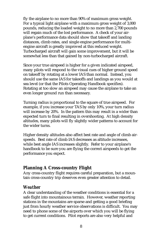fly the airplane to no more than 90% of maximum gross weight. For a typical light airplane with a maximum gross weight of 3,000 pounds, reducing the loaded weight to no more than 2,700 pounds will regain much of the lost performance. A check of your airplane's performance data should show that takeoff and landing distances, climb rates, and single engine performance for multiengine aircraft is greatly improved at this reduced weight. Turbocharged aircraft will gain some improvement, but it will be somewhat less than that gained by non-turbocharged aircraft.

Since your true airspeed is higher for a given indicated airspeed, many pilots will respond to the visual cues of higher ground speed on takeoff by rotating at a lower IAS than normal. Instead, you should use the same IAS for takeoffs and landings as you would at sea level (or that the Pilots Operating Handbook specifies). Rotating at too slow an airspeed may cause the airplane to take an even longer ground run than necessary.

Turning radius is proportional to the square of true airspeed. For example, if you increase your TAS by only 10%, your turn radius will increase by 20%. In the pattern this may result in a wider than expected turn to final resulting in overshooting. At high density altitudes, many pilots will fly slightly wider patterns to account for the wider turns.

Higher density altitudes also affect best rate and angle of climb airspeeds. Best rate of climb IAS decreases as altitude increases, while best angle IAS increases slightly. Refer to your airplane's handbook to be sure you are flying the correct airspeeds to get the performance you expect.

### **Planning A Cross-country Flight**

Any cross-country flight requires careful preparation, but a mountain cross-country trip deserves even greater attention to detail.

#### *Weather*

A clear understanding of the weather conditions is essential for a safe flight into mountainous terrain. However, weather reporting stations in the mountains are sparse and getting a good briefing just from hourly weather service observations is difficult. You may need to phone some of the airports over which you will be flying to get current conditions. Pilot reports are also very helpful and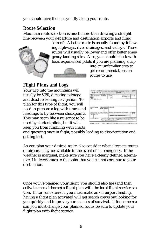you should give them as you fly along your route.

### *Route Selection*

Mountain route selection is much more than drawing a straight line between your departure and destination airports and filing

"direct". A better route is usually found by following highways, river drainages, and valleys. These routes will usually be lower and offer better emer-



into an unfamiliar area to get recommendations on routes to use.

# *Flight Plans and Logs*

Your trip into the mountains will usually be VFR, dictating pilotage and dead reckoning navigation. To plan for this type of flight, you will need to prepare a log with times and headings to fly between checkpoints. This may seem like a nuisance to be used by student pilots, but it will keep you from fumbling with charts

|                 | - 10                     |             |  |
|-----------------|--------------------------|-------------|--|
|                 |                          |             |  |
| <b>COLOR IN</b> | $\frac{d\mathbf{q}}{dt}$ | of the con- |  |

and guessing once in flight, possibly leading to disorientation and getting lost.

As you plan your desired route, also consider what alternate routes or airports may be available in the event of an emergency. If the weather is marginal, make sure you have a clearly defined alternative if it deteriorates to the point that you cannot continue to your destination.

Once you've planned your flight, you should also file (and then activate once airborne) a flight plan with the local flight service station. If, for some reason, you must make an off airport landing, having a flight plan activated will get search crews out looking for you quickly and improve your chances of survival. If for some reason you must change your planned route, be sure to update your flight plan with flight service.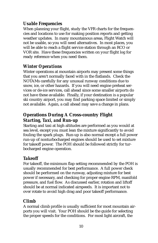# *Usable Frequencies*

When planning your flight, study the VFR charts for the frequencies and locations to use for making position reports and getting weather updates. In many mountainous areas, Flight Watch will not be usable, so you will need alternatives. In most places, you will be able to reach a flight service station through an RCO or VOR site. Have these frequencies written on your flight log for ready reference when you need them.

# *Winter Operations*

Winter operations at mountain airports may present some things that you aren't normally faced with in the flatlands. Check the NOTAMs carefully for any unusual runway conditions due to snow, ice, or other hazards. If you will need engine preheat services or de-ice services, call ahead since some smaller airports do not have these available. Finally, if your destination is a popular ski country airport, you may find parking space limited or simply not available. Again, a call ahead may save a change in plans.

# **Operations During A Cross-country Flight** *Starting, Taxi, and Run-up*

Starting and taxi at high altitudes are performed as you would at sea level, except you must lean the mixture significantly to avoid fouling the spark plugs. Run-up is also normal except a full power run-up of nonturbocharged engines should be used to set mixture for takeoff power. The POH should be followed strictly for turbocharged engine operation.

# *Takeoff*

For takeoff, the minimum flap setting recommended by the POH is usually recommended for best performance. A full power check should be performed on the runway, adjusting mixture for best power if necessary, and checking for proper engine RPM, manifold pressure, and fuel flow. As discussed earlier, rotation and liftoff should be at normal indicated airspeeds. It is important not to over rotate to avoid high drag and poor takeoff performance.

# *Climb*

A normal climb profile is usually sufficient for most mountain airports you will visit. Your POH should be the guide for selecting the proper speeds for the conditions. For most light aircraft, the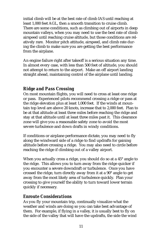initial climb will be at the best rate of climb IAS until reaching at least 1,000 feet AGL, then a smooth transition to cruise climb. There are some conditions, such as climbing out of airports in deep mountain valleys, when you may need to use the best rate of climb airspeed until reaching cruise altitude, but those conditions are relatively rare. Monitor pitch attitude, airspeed, and climb rate during the climb to make sure you are getting the best performance from the airplane.

An engine failure right after takeoff is a serious situation any time. In almost every case, with less than 500 feet of altitude, you should not attempt to return to the airport. Make an off airport landing straight ahead, maintaining control of the airplane until landing.

### *Ridge and Pass Crossing*

On most mountain flights, you will need to cross at least one ridge or pass. Experienced pilots recommend crossing a ridge or pass at the ridge elevation plus at least 1,000 feet. If the winds at mountain top level are above 20 knots, increase that to 2,000 feet. Plan to be at that altitude at least three miles before reaching the ridge and stay at that altitude until at least three miles past it. This clearance zone will give you a reasonable safety zone to avoid the most severe turbulence and down drafts in windy conditions.

If conditions or airplane performance dictate, you may need to fly along the windward side of a ridge to find updrafts for gaining altitude before crossing a ridge. You may also need to circle before reaching the ridge if climbing out of a valley airport.

When you actually cross a ridge, you should do so at a 45° angle to the ridge. This allows you to turn away from the ridge quicker if you encounter a severe downdraft or turbulence. Once you have crossed the ridge, turn directly away from it at a 90° angle to get away from the most likely area of turbulence quickly. Plan your crossing to give yourself the ability to turn toward lower terrain quickly if necessary.

### *Enroute Considerations*

As you fly your mountain trip, continually visualize what the weather and winds are doing so you can take best advantage of them. For example, if flying in a valley, it is usually best to fly on the side of the valley that will have the updrafts, the side the wind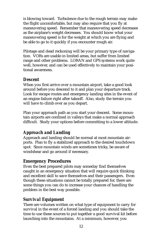is blowing toward. Turbulence due to the rough terrain may make the flight uncomfortable, but may also require that you fly at maneuvering speed. Remember that maneuvering speed decreases as the airplane's weight decreases. You should know what your maneuvering speed is for the weight at which you are flying and be able to go to it quickly if you encounter rough air.

Pilotage and dead reckoning will be your primary type of navigation. VORs are usable in limited areas, but suffer from limited range and other problems. LORAN and GPS systems work quite well, however, and can be used effectively to maintain your positional awareness.

### *Descent*

When you first arrive over a mountain airport, take a good look around before you descend to it and plan your departure track. Look for escape routes and emergency landing sites in the event of an engine failure right after takeoff. Also, study the terrain you will have to climb over as you depart.

Plan your approach path as you start your descent. Some mountain airports are confined in valleys that make a normal approach difficult. Study your options before committing to a lower altitude.

# *Approach and Landing*

Approach and landing should be normal at most mountain airports. Plan to fly a stabilized approach to the desired touchdown spot. Since mountain winds are sometimes tricky, be aware of windshear and go around if necessary.

# **Emergency Procedures**

Even the best prepared pilots may someday find themselves caught in an emergency situation that will require quick thinking and excellent skill to save themselves and their passengers. Even though these situations cannot be totally prepared for, there are some things you can do to increase your chances of handling the problem in the best way possible.

### *Survival Equipment*

There are volumes written on what type of equipment to carry for survival in the event of a forced landing and you should take the time to use these sources to put together a good survival kit before launching into the mountains. At a minimum, however, you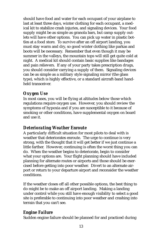should have food and water for each occupant of your airplane to last at least three days, winter clothing for each occupant, a medical kit to stabilize crash injuries, and signaling devices. Your food supply might be as simple as granola bars, but camp supply outlets will have other options. You can pick up water in plastic bottles at a food store. To survive after an off airport landing, you must stay warm and dry, so good winter clothing like parkas and boots will be necessary. Remember that even though it may be summer in the valleys, the mountain tops will still get quite cold at night. A medical kit should contain basic supplies like bandages and pain relievers. If any of your party takes prescription drugs, you should consider carrying a supply of them. Signaling devices can be as simple as a military style signaling mirror (the glass type), which is highly effective, or a standard aircraft-band handheld transceiver.

### *Oxygen Use*

In most cases, you will be flying at altitudes below those which regulations require oxygen use. However, you should review the symptoms of hypoxia and if you are susceptible to it because of smoking or other conditions, have supplemental oxygen on board and use it.

# *Deteriorating Weather Enroute*

A particularly difficult situation for most pilots to deal with is weather that deteriorates enroute. The urge to continue is very strong, with the thought that it will get better if we just continue a little farther. However, continuing is often the worst thing you can do. When the weather begins to deteriorate, begin to consider what your options are. Your flight planning should have included planning for alternate routes or airports and those should be exercised before getting into poor weather. Divert to an alternate airport or return to your departure airport and reconsider the weather conditions.

If the weather closes off all other possible options, the best thing to do might be to make an off airport landing. Making a landing under control while you still have enough visibility to select a good site is preferable to continuing into poor weather and crashing into terrain that you can't see.

# *Engine Failure*

Sudden engine failure should be planned for and practiced during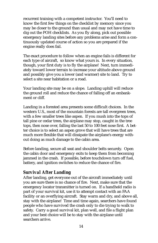recurrent training with a competent instructor. You'll need to know the first few things on the checklist by memory since you may be closer to the ground than usual and may not have time to dig out the POH checklists. As you fly along, pick out possible emergency landing sites before any problems arise and form a continuously updated course of action so you are prepared if the engine really does fail.

The exact procedure to follow when an engine fails is different for each type of aircraft, so know what yours is. In every situation, though, your first duty is to fly the airplane! Next, turn immediately toward lower terrain to increase your altitude above ground and possibly give you a lower (and warmer) site to land. Try to select a site near habitation or a road.

Your landing site may be on a slope. Landing uphill will reduce the ground roll and reduce the chance of falling off an embankment or cliff.

Landing in a forested area presents some difficult choices. In the western U.S., most of the mountain forests are tall evergreen trees, with a few smaller trees like aspen. If you mush into the tops of tall pine or cedar trees, the airplane may stop, caught in the tree tops, then nose over, falling the last 50 to 100 feet nose first. A better choice is to select an aspen grove that will have trees that are much more flexible that will dissipate the airplane's energy without doing as much damage to the cabin area.

Before landing, secure all seat and shoulder belts securely. Open the cabin door and emergency exits to keep them from becoming jammed in the crash. If possible, before touchdown turn off fuel, battery, and ignition switches to reduce the chance of fire.

# *Survival After Landing*

After landing, get everyone out of the aircraft immediately until you are sure there is no chance of fire. Next, make sure that the emergency locator transmitter is turned on. If a handheld radio is part of your survival kit, use it to attempt contact with an FAA facility or an overflying aircraft. Stay warm and dry, and above all, stay with the airplane! Time and time again, searchers have found people who have survived the crash only to die trying to walk to safety. Carry a good survival kit, plan well, and file a flight plan and your best choice will be to stay with the airplane until searchers arrive.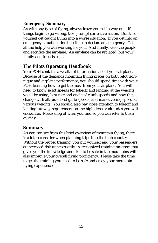### *Emergency Summary*

As with any type of flying, always leave yourself a way out. If things begin to go wrong, take prompt corrective action. Don't let yourself get caught flying into a worse situation. If you get into an emergency situation, don't hesitate to declare an emergency. Get all the help you can working for you. And finally, save the people and sacrifice the airplane. An airplane can be replaced, but your family and friends can't.

# **The Pilots Operating Handbook**

Your POH contains a wealth of information about your airplane. Because of the demands mountain flying places on both pilot technique and airplane performance, you should spend time with your POH learning how to get the most from your airplane. You will need to know exact speeds for takeoff and landing at the weights you'll be using, best rate and angle of climb speeds and how they change with altitude, best glide speeds, and maneuvering speed at various weights. You should also pay close attention to takeoff and landing runway requirements at the high density altitudes you will encounter. Make a log of what you find so you can refer to them quickly.

### **Summary**

As you can see from this brief overview of mountain flying, there is a lot to consider when planning trips into the high country. Without the proper training, you put yourself and your passengers at increased risk unnecessarily. A recognized training program that gives you the knowledge and skill to be safe in the mountains will also improve your overall flying proficiency. Please take the time to get the training you need to be safe and enjoy your mountain flying experience.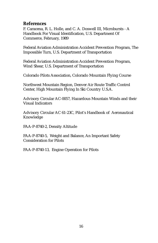#### **References**

F. Caracena, R. L. Holle, and C. A. Doswell III, Microbursts - A Handbook For Visual Identification, U.S. Department Of Commerce, February, 1989

Federal Aviation Administration Accident Prevention Program, The Impossible Turn, U.S. Department of Transportation

Federal Aviation Administration Accident Prevention Program, Wind Shear, U.S. Department of Transportation

Colorado Pilots Association, Colorado Mountain Flying Course

Northwest Mountain Region, Denver Air Route Traffic Control Center, High Mountain Flying In Ski Country U.S.A.

Advisory Circular AC-0057, Hazardous Mountain Winds and their Visual Indicators

Advisory Circular AC 61-23C, Pilot's Handbook of Aeronautical Knowledge

FAA-P-8740-2, Density Altitude

FAA-P-8740-5, Weight and Balance, An Important Safety Consideration for Pilots

FAA-P-8740-13, Engine Operation for Pilots